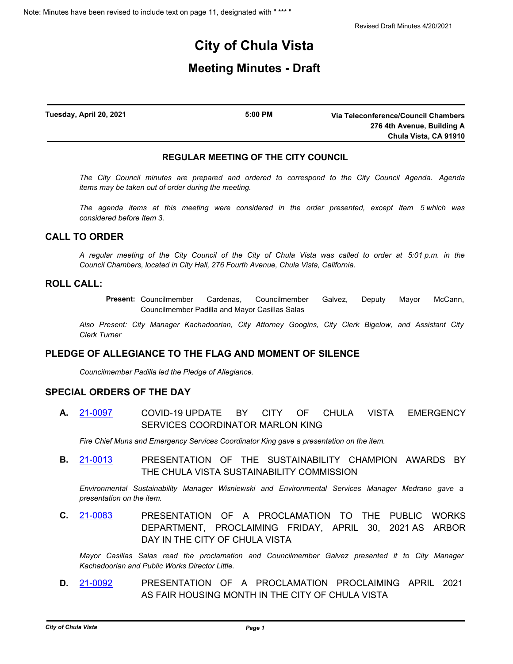# **City of Chula Vista**

## **Meeting Minutes - Draft**

| Tuesday, April 20, 2021 | 5:00 PM | Via Teleconference/Council Chambers |
|-------------------------|---------|-------------------------------------|
|                         |         | 276 4th Avenue, Building A          |
|                         |         | Chula Vista, CA 91910               |

### **REGULAR MEETING OF THE CITY COUNCIL**

*The City Council minutes are prepared and ordered to correspond to the City Council Agenda. Agenda items may be taken out of order during the meeting.*

*The agenda items at this meeting were considered in the order presented, except Item 5 which was considered before Item 3.*

## **CALL TO ORDER**

*A regular meeting of the City Council of the City of Chula Vista was called to order at 5:01 p.m. in the Council Chambers, located in City Hall, 276 Fourth Avenue, Chula Vista, California.*

## **ROLL CALL:**

**Present:** Councilmember Cardenas, Councilmember Galvez, Deputy Mayor McCann, Councilmember Padilla and Mayor Casillas Salas

*Also Present: City Manager Kachadoorian, City Attorney Googins, City Clerk Bigelow, and Assistant City Clerk Turner*

## **PLEDGE OF ALLEGIANCE TO THE FLAG AND MOMENT OF SILENCE**

*Councilmember Padilla led the Pledge of Allegiance.*

## **SPECIAL ORDERS OF THE DAY**

**A.** [21-0097](http://chulavista.legistar.com/gateway.aspx?m=l&id=/matter.aspx?key=5716) COVID-19 UPDATE BY CITY OF CHULA VISTA EMERGENCY SERVICES COORDINATOR MARLON KING

*Fire Chief Muns and Emergency Services Coordinator King gave a presentation on the item.*

**B.** [21-0013](http://chulavista.legistar.com/gateway.aspx?m=l&id=/matter.aspx?key=5632) PRESENTATION OF THE SUSTAINABILITY CHAMPION AWARDS BY THE CHULA VISTA SUSTAINABILITY COMMISSION

*Environmental Sustainability Manager Wisniewski and Environmental Services Manager Medrano gave a presentation on the item.*

**C.** [21-0083](http://chulavista.legistar.com/gateway.aspx?m=l&id=/matter.aspx?key=5702) PRESENTATION OF A PROCLAMATION TO THE PUBLIC WORKS DEPARTMENT, PROCLAIMING FRIDAY, APRIL 30, 2021 AS ARBOR DAY IN THE CITY OF CHULA VISTA

*Mayor Casillas Salas read the proclamation and Councilmember Galvez presented it to City Manager Kachadoorian and Public Works Director Little.*

**D.** [21-0092](http://chulavista.legistar.com/gateway.aspx?m=l&id=/matter.aspx?key=5711) PRESENTATION OF A PROCLAMATION PROCLAIMING APRIL 2021 AS FAIR HOUSING MONTH IN THE CITY OF CHULA VISTA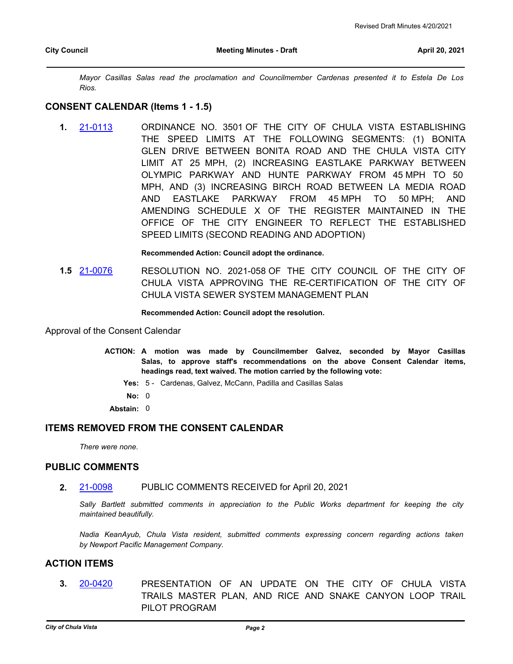*Mayor Casillas Salas read the proclamation and Councilmember Cardenas presented it to Estela De Los Rios.*

#### **CONSENT CALENDAR (Items 1 - 1.5)**

**1.** [21-0113](http://chulavista.legistar.com/gateway.aspx?m=l&id=/matter.aspx?key=5732) ORDINANCE NO. 3501 OF THE CITY OF CHULA VISTA ESTABLISHING THE SPEED LIMITS AT THE FOLLOWING SEGMENTS: (1) BONITA GLEN DRIVE BETWEEN BONITA ROAD AND THE CHULA VISTA CITY LIMIT AT 25 MPH, (2) INCREASING EASTLAKE PARKWAY BETWEEN OLYMPIC PARKWAY AND HUNTE PARKWAY FROM 45 MPH TO 50 MPH, AND (3) INCREASING BIRCH ROAD BETWEEN LA MEDIA ROAD AND EASTLAKE PARKWAY FROM 45 MPH TO 50 MPH; AND AMENDING SCHEDULE X OF THE REGISTER MAINTAINED IN THE OFFICE OF THE CITY ENGINEER TO REFLECT THE ESTABLISHED SPEED LIMITS (SECOND READING AND ADOPTION)

#### **Recommended Action: Council adopt the ordinance.**

**1.5** [21-0076](http://chulavista.legistar.com/gateway.aspx?m=l&id=/matter.aspx?key=5695) RESOLUTION NO. 2021-058 OF THE CITY COUNCIL OF THE CITY OF CHULA VISTA APPROVING THE RE-CERTIFICATION OF THE CITY OF CHULA VISTA SEWER SYSTEM MANAGEMENT PLAN

#### **Recommended Action: Council adopt the resolution.**

Approval of the Consent Calendar

- ACTION: A motion was made by Councilmember Galvez, seconded by Mayor Casillas **Salas, to approve staff's recommendations on the above Consent Calendar items, headings read, text waived. The motion carried by the following vote:**
	- **Yes:** 5 Cardenas, Galvez, McCann, Padilla and Casillas Salas
	- **No:** 0
	- **Abstain:** 0

## **ITEMS REMOVED FROM THE CONSENT CALENDAR**

*There were none.*

## **PUBLIC COMMENTS**

**2.** [21-0098](http://chulavista.legistar.com/gateway.aspx?m=l&id=/matter.aspx?key=5717) PUBLIC COMMENTS RECEIVED for April 20, 2021

*Sally Bartlett submitted comments in appreciation to the Public Works department for keeping the city maintained beautifully.*

*Nadia KeanAyub, Chula Vista resident, submitted comments expressing concern regarding actions taken by Newport Pacific Management Company.*

#### **ACTION ITEMS**

**3.** [20-0420](http://chulavista.legistar.com/gateway.aspx?m=l&id=/matter.aspx?key=5467) PRESENTATION OF AN UPDATE ON THE CITY OF CHULA VISTA TRAILS MASTER PLAN, AND RICE AND SNAKE CANYON LOOP TRAIL PILOT PROGRAM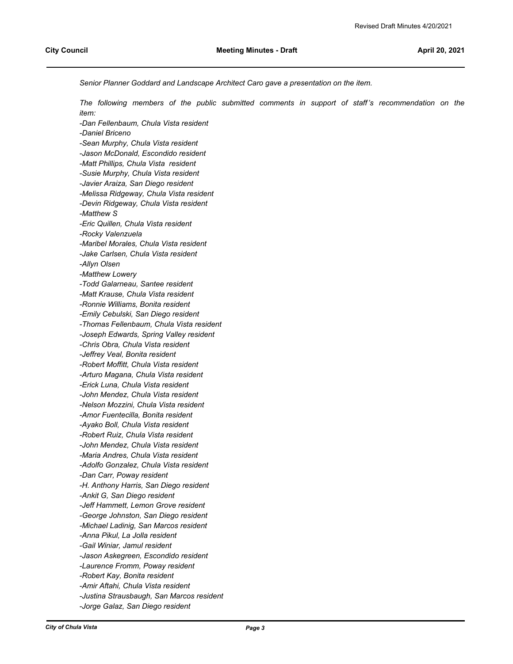*Senior Planner Goddard and Landscape Architect Caro gave a presentation on the item.*

*The following members of the public submitted comments in support of staff's recommendation on the item:*

*-Dan Fellenbaum, Chula Vista resident -Daniel Briceno -Sean Murphy, Chula Vista resident -Jason McDonald, Escondido resident -Matt Phillips, Chula Vista resident -Susie Murphy, Chula Vista resident -Javier Araiza, San Diego resident -Melissa Ridgeway, Chula Vista resident -Devin Ridgeway, Chula Vista resident -Matthew S -Eric Quillen, Chula Vista resident -Rocky Valenzuela -Maribel Morales, Chula Vista resident -Jake Carlsen, Chula Vista resident -Allyn Olsen -Matthew Lowery -Todd Galarneau, Santee resident -Matt Krause, Chula Vista resident -Ronnie Williams, Bonita resident -Emily Cebulski, San Diego resident -Thomas Fellenbaum, Chula Vista resident -Joseph Edwards, Spring Valley resident -Chris Obra, Chula Vista resident -Jeffrey Veal, Bonita resident -Robert Moffitt, Chula Vista resident -Arturo Magana, Chula Vista resident -Erick Luna, Chula Vista resident -John Mendez, Chula Vista resident -Nelson Mozzini, Chula Vista resident -Amor Fuentecilla, Bonita resident -Ayako Boll, Chula Vista resident -Robert Ruiz, Chula Vista resident -John Mendez, Chula Vista resident -Maria Andres, Chula Vista resident -Adolfo Gonzalez, Chula Vista resident -Dan Carr, Poway resident -H. Anthony Harris, San Diego resident -Ankit G, San Diego resident -Jeff Hammett, Lemon Grove resident -George Johnston, San Diego resident -Michael Ladinig, San Marcos resident -Anna Pikul, La Jolla resident -Gail Winiar, Jamul resident -Jason Askegreen, Escondido resident -Laurence Fromm, Poway resident -Robert Kay, Bonita resident -Amir Aftahi, Chula Vista resident -Justina Strausbaugh, San Marcos resident -Jorge Galaz, San Diego resident*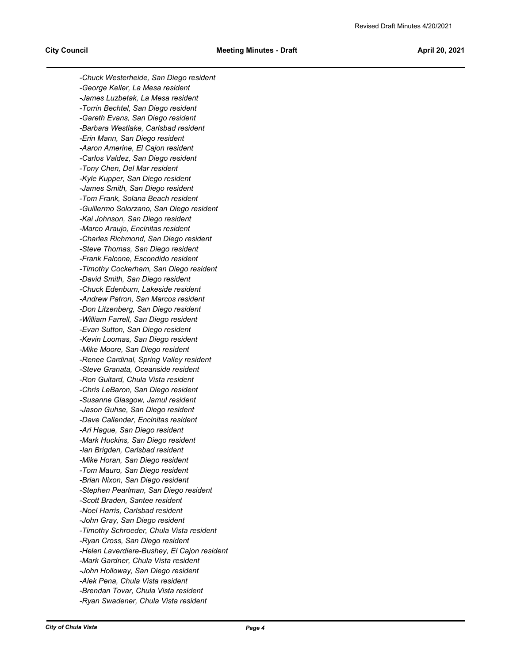*-Chuck Westerheide, San Diego resident -George Keller, La Mesa resident -James Luzbetak, La Mesa resident -Torrin Bechtel, San Diego resident -Gareth Evans, San Diego resident -Barbara Westlake, Carlsbad resident -Erin Mann, San Diego resident -Aaron Amerine, El Cajon resident -Carlos Valdez, San Diego resident -Tony Chen, Del Mar resident -Kyle Kupper, San Diego resident -James Smith, San Diego resident -Tom Frank, Solana Beach resident -Guillermo Solorzano, San Diego resident -Kai Johnson, San Diego resident -Marco Araujo, Encinitas resident -Charles Richmond, San Diego resident -Steve Thomas, San Diego resident -Frank Falcone, Escondido resident -Timothy Cockerham, San Diego resident -David Smith, San Diego resident -Chuck Edenburn, Lakeside resident -Andrew Patron, San Marcos resident -Don Litzenberg, San Diego resident -William Farrell, San Diego resident -Evan Sutton, San Diego resident -Kevin Loomas, San Diego resident -Mike Moore, San Diego resident -Renee Cardinal, Spring Valley resident -Steve Granata, Oceanside resident -Ron Guitard, Chula Vista resident -Chris LeBaron, San Diego resident -Susanne Glasgow, Jamul resident -Jason Guhse, San Diego resident -Dave Callender, Encinitas resident -Ari Hague, San Diego resident -Mark Huckins, San Diego resident -Ian Brigden, Carlsbad resident -Mike Horan, San Diego resident -Tom Mauro, San Diego resident -Brian Nixon, San Diego resident -Stephen Pearlman, San Diego resident -Scott Braden, Santee resident -Noel Harris, Carlsbad resident -John Gray, San Diego resident -Timothy Schroeder, Chula Vista resident -Ryan Cross, San Diego resident -Helen Laverdiere-Bushey, El Cajon resident -Mark Gardner, Chula Vista resident -John Holloway, San Diego resident -Alek Pena, Chula Vista resident -Brendan Tovar, Chula Vista resident -Ryan Swadener, Chula Vista resident*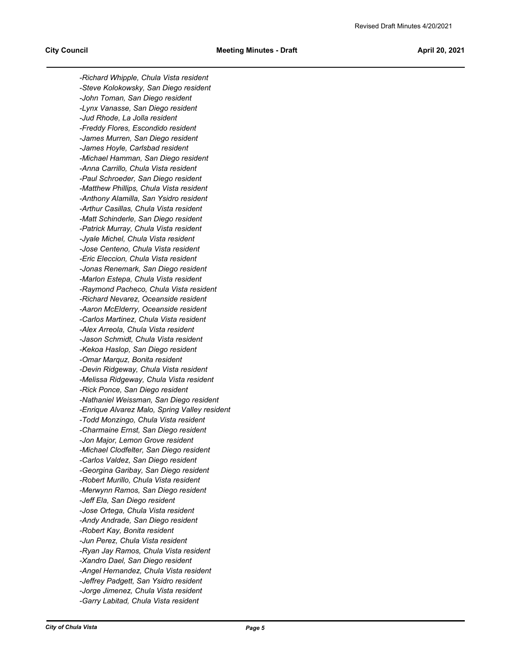*-Richard Whipple, Chula Vista resident -Steve Kolokowsky, San Diego resident -John Toman, San Diego resident -Lynx Vanasse, San Diego resident -Jud Rhode, La Jolla resident -Freddy Flores, Escondido resident -James Murren, San Diego resident -James Hoyle, Carlsbad resident -Michael Hamman, San Diego resident -Anna Carrillo, Chula Vista resident -Paul Schroeder, San Diego resident -Matthew Phillips, Chula Vista resident -Anthony Alamilla, San Ysidro resident -Arthur Casillas, Chula Vista resident -Matt Schinderle, San Diego resident -Patrick Murray, Chula Vista resident -Jyale Michel, Chula Vista resident -Jose Centeno, Chula Vista resident -Eric Eleccion, Chula Vista resident -Jonas Renemark, San Diego resident -Marlon Estepa, Chula Vista resident -Raymond Pacheco, Chula Vista resident -Richard Nevarez, Oceanside resident -Aaron McElderry, Oceanside resident -Carlos Martinez, Chula Vista resident -Alex Arreola, Chula Vista resident -Jason Schmidt, Chula Vista resident -Kekoa Haslop, San Diego resident -Omar Marquz, Bonita resident -Devin Ridgeway, Chula Vista resident -Melissa Ridgeway, Chula Vista resident -Rick Ponce, San Diego resident -Nathaniel Weissman, San Diego resident -Enrique Alvarez Malo, Spring Valley resident -Todd Monzingo, Chula Vista resident -Charmaine Ernst, San Diego resident -Jon Major, Lemon Grove resident -Michael Clodfelter, San Diego resident -Carlos Valdez, San Diego resident -Georgina Garibay, San Diego resident -Robert Murillo, Chula Vista resident -Merwynn Ramos, San Diego resident -Jeff Ela, San Diego resident -Jose Ortega, Chula Vista resident -Andy Andrade, San Diego resident -Robert Kay, Bonita resident -Jun Perez, Chula Vista resident -Ryan Jay Ramos, Chula Vista resident -Xandro Dael, San Diego resident -Angel Hernandez, Chula Vista resident -Jeffrey Padgett, San Ysidro resident -Jorge Jimenez, Chula Vista resident -Garry Labitad, Chula Vista resident*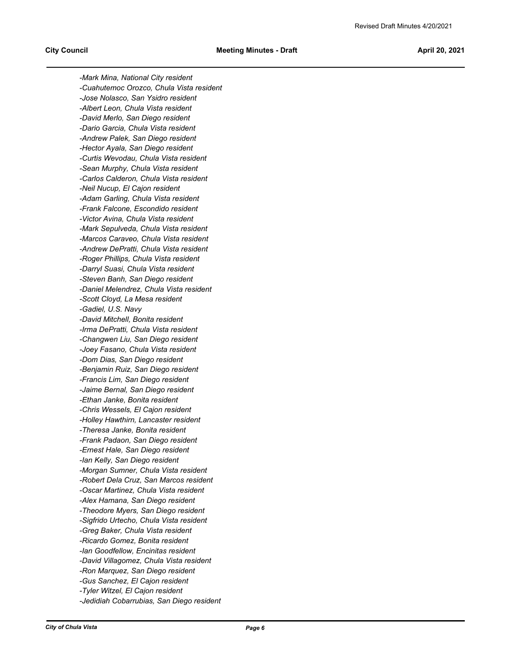*-Mark Mina, National City resident -Cuahutemoc Orozco, Chula Vista resident -Jose Nolasco, San Ysidro resident -Albert Leon, Chula Vista resident -David Merlo, San Diego resident -Dario Garcia, Chula Vista resident -Andrew Palek, San Diego resident -Hector Ayala, San Diego resident -Curtis Wevodau, Chula Vista resident -Sean Murphy, Chula Vista resident -Carlos Calderon, Chula Vista resident -Neil Nucup, El Cajon resident -Adam Garling, Chula Vista resident -Frank Falcone, Escondido resident -Victor Avina, Chula Vista resident -Mark Sepulveda, Chula Vista resident -Marcos Caraveo, Chula Vista resident -Andrew DePratti, Chula Vista resident -Roger Phillips, Chula Vista resident -Darryl Suasi, Chula Vista resident -Steven Banh, San Diego resident -Daniel Melendrez, Chula Vista resident -Scott Cloyd, La Mesa resident -Gadiel, U.S. Navy -David Mitchell, Bonita resident -Irma DePratti, Chula Vista resident -Changwen Liu, San Diego resident -Joey Fasano, Chula Vista resident -Dom Dias, San Diego resident -Benjamin Ruiz, San Diego resident -Francis Lim, San Diego resident -Jaime Bernal, San Diego resident -Ethan Janke, Bonita resident -Chris Wessels, El Cajon resident -Holley Hawthirn, Lancaster resident -Theresa Janke, Bonita resident -Frank Padaon, San Diego resident -Ernest Hale, San Diego resident -Ian Kelly, San Diego resident -Morgan Sumner, Chula Vista resident -Robert Dela Cruz, San Marcos resident -Oscar Martinez, Chula Vista resident -Alex Hamana, San Diego resident -Theodore Myers, San Diego resident -Sigfrido Urtecho, Chula Vista resident -Greg Baker, Chula Vista resident -Ricardo Gomez, Bonita resident -Ian Goodfellow, Encinitas resident -David Villagomez, Chula Vista resident -Ron Marquez, San Diego resident -Gus Sanchez, El Cajon resident -Tyler Witzel, El Cajon resident -Jedidiah Cobarrubias, San Diego resident*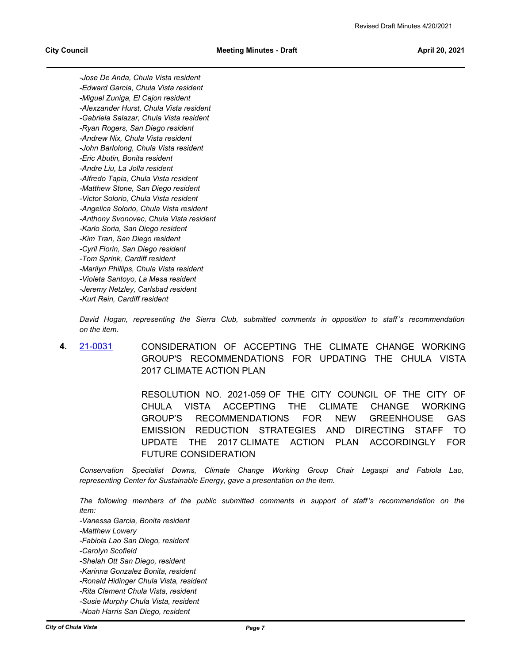*-Jose De Anda, Chula Vista resident -Edward Garcia, Chula Vista resident -Miguel Zuniga, El Cajon resident -Alexzander Hurst, Chula Vista resident -Gabriela Salazar, Chula Vista resident -Ryan Rogers, San Diego resident -Andrew Nix, Chula Vista resident -John Barlolong, Chula Vista resident -Eric Abutin, Bonita resident -Andre Liu, La Jolla resident -Alfredo Tapia, Chula Vista resident -Matthew Stone, San Diego resident -Victor Solorio, Chula Vista resident -Angelica Solorio, Chula Vista resident -Anthony Svonovec, Chula Vista resident -Karlo Soria, San Diego resident -Kim Tran, San Diego resident -Cyril Florin, San Diego resident -Tom Sprink, Cardiff resident -Marilyn Phillips, Chula Vista resident -Violeta Santoyo, La Mesa resident -Jeremy Netzley, Carlsbad resident -Kurt Rein, Cardiff resident*

*David Hogan, representing the Sierra Club, submitted comments in opposition to staff 's recommendation on the item.*

**4.** [21-0031](http://chulavista.legistar.com/gateway.aspx?m=l&id=/matter.aspx?key=5650) CONSIDERATION OF ACCEPTING THE CLIMATE CHANGE WORKING GROUP'S RECOMMENDATIONS FOR UPDATING THE CHULA VISTA 2017 CLIMATE ACTION PLAN

> RESOLUTION NO. 2021-059 OF THE CITY COUNCIL OF THE CITY OF CHULA VISTA ACCEPTING THE CLIMATE CHANGE WORKING GROUP'S RECOMMENDATIONS FOR NEW GREENHOUSE GAS EMISSION REDUCTION STRATEGIES AND DIRECTING STAFF TO UPDATE THE 2017 CLIMATE ACTION PLAN ACCORDINGLY FOR FUTURE CONSIDERATION

*Conservation Specialist Downs, Climate Change Working Group Chair Legaspi and Fabiola Lao, representing Center for Sustainable Energy, gave a presentation on the item.*

*The following members of the public submitted comments in support of staff's recommendation on the item:*

*-Vanessa Garcia, Bonita resident*

*-Matthew Lowery* 

*-Fabiola Lao San Diego, resident*

*-Carolyn Scofield* 

*-Shelah Ott San Diego, resident*

*-Karinna Gonzalez Bonita, resident*

*-Ronald Hidinger Chula Vista, resident*

*-Rita Clement Chula Vista, resident*

*-Susie Murphy Chula Vista, resident*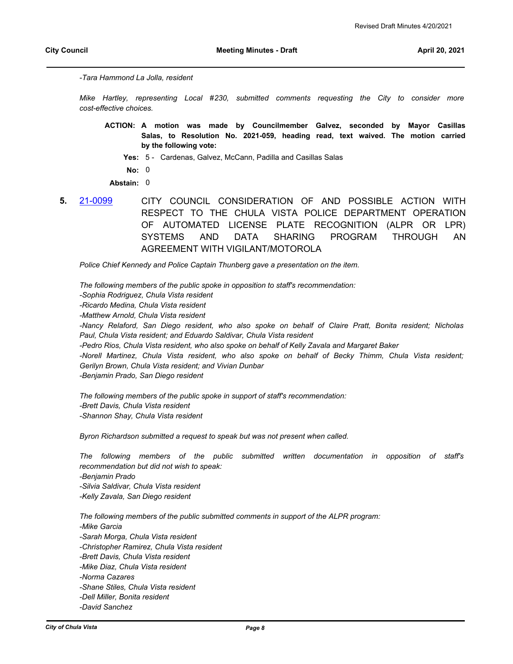*-Tara Hammond La Jolla, resident*

*Mike Hartley, representing Local #230, submitted comments requesting the City to consider more cost-effective choices.*

- **A motion was made by Councilmember Galvez, seconded by Mayor Casillas ACTION: Salas, to Resolution No. 2021-059, heading read, text waived. The motion carried by the following vote:**
	- **Yes:** 5 Cardenas, Galvez, McCann, Padilla and Casillas Salas
	- **No:** 0

**Abstain:** 0

**5.** [21-0099](http://chulavista.legistar.com/gateway.aspx?m=l&id=/matter.aspx?key=5718) CITY COUNCIL CONSIDERATION OF AND POSSIBLE ACTION WITH RESPECT TO THE CHULA VISTA POLICE DEPARTMENT OPERATION OF AUTOMATED LICENSE PLATE RECOGNITION (ALPR OR LPR) SYSTEMS AND DATA SHARING PROGRAM THROUGH AN AGREEMENT WITH VIGILANT/MOTOROLA

*Police Chief Kennedy and Police Captain Thunberg gave a presentation on the item.*

*The following members of the public spoke in opposition to staff's recommendation:*

*-Sophia Rodriguez, Chula Vista resident*

*-Ricardo Medina, Chula Vista resident*

*-Matthew Arnold, Chula Vista resident*

*-Nancy Relaford, San Diego resident, who also spoke on behalf of Claire Pratt, Bonita resident; Nicholas Paul, Chula Vista resident; and Eduardo Saldivar, Chula Vista resident*

*-Pedro Rios, Chula Vista resident, who also spoke on behalf of Kelly Zavala and Margaret Baker*

*-Norell Martinez, Chula Vista resident, who also spoke on behalf of Becky Thimm, Chula Vista resident; Gerilyn Brown, Chula Vista resident; and Vivian Dunbar*

*-Benjamin Prado, San Diego resident*

*The following members of the public spoke in support of staff's recommendation: -Brett Davis, Chula Vista resident -Shannon Shay, Chula Vista resident*

*Byron Richardson submitted a request to speak but was not present when called.*

*The following members of the public submitted written documentation in opposition of staff's recommendation but did not wish to speak: -Benjamin Prado -Silvia Saldivar, Chula Vista resident -Kelly Zavala, San Diego resident*

*The following members of the public submitted comments in support of the ALPR program: -Mike Garcia -Sarah Morga, Chula Vista resident -Christopher Ramirez, Chula Vista resident -Brett Davis, Chula Vista resident -Mike Diaz, Chula Vista resident -Norma Cazares -Shane Stiles, Chula Vista resident -Dell Miller, Bonita resident -David Sanchez*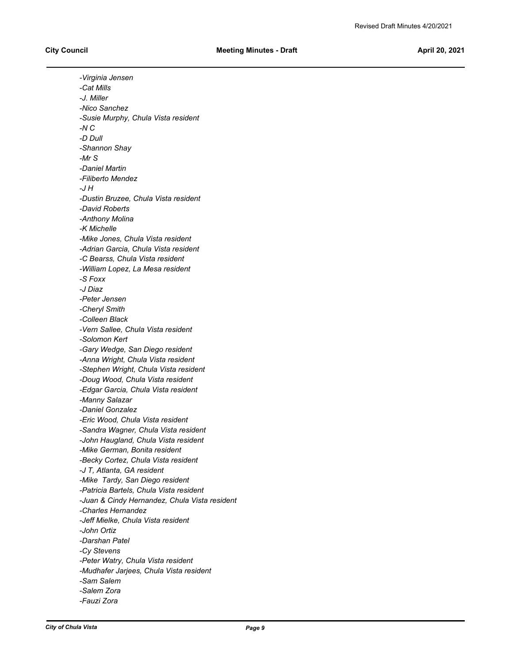*-Virginia Jensen -Cat Mills -J. Miller -Nico Sanchez -Susie Murphy, Chula Vista resident -N C -D Dull -Shannon Shay -Mr S -Daniel Martin -Filiberto Mendez -J H -Dustin Bruzee, Chula Vista resident -David Roberts -Anthony Molina -K Michelle -Mike Jones, Chula Vista resident -Adrian Garcia, Chula Vista resident -C Bearss, Chula Vista resident -William Lopez, La Mesa resident -S Foxx -J Diaz -Peter Jensen -Cheryl Smith -Colleen Black -Vern Sallee, Chula Vista resident -Solomon Kert -Gary Wedge, San Diego resident -Anna Wright, Chula Vista resident -Stephen Wright, Chula Vista resident -Doug Wood, Chula Vista resident -Edgar Garcia, Chula Vista resident -Manny Salazar -Daniel Gonzalez -Eric Wood, Chula Vista resident -Sandra Wagner, Chula Vista resident -John Haugland, Chula Vista resident -Mike German, Bonita resident -Becky Cortez, Chula Vista resident -J T, Atlanta, GA resident -Mike Tardy, San Diego resident -Patricia Bartels, Chula Vista resident -Juan & Cindy Hernandez, Chula Vista resident -Charles Hernandez -Jeff Mielke, Chula Vista resident -John Ortiz -Darshan Patel -Cy Stevens -Peter Watry, Chula Vista resident -Mudhafer Jarjees, Chula Vista resident -Sam Salem -Salem Zora -Fauzi Zora*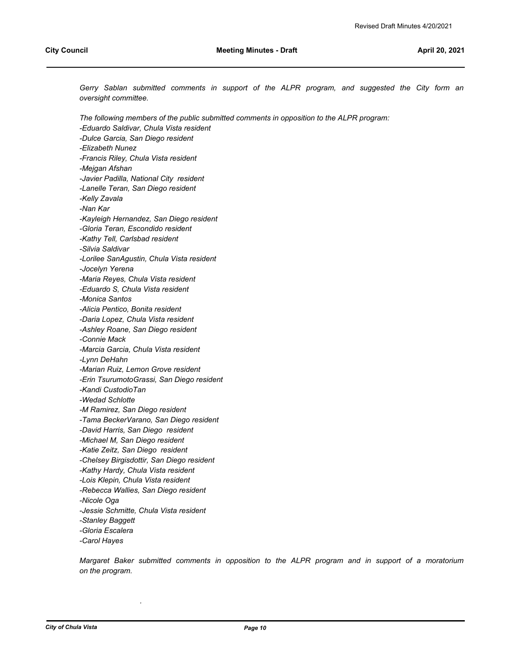Gerry Sablan submitted comments in support of the ALPR program, and suggested the City form an *oversight committee.* 

*The following members of the public submitted comments in opposition to the ALPR program: -Eduardo Saldivar, Chula Vista resident -Dulce Garcia, San Diego resident -Elizabeth Nunez -Francis Riley, Chula Vista resident -Mejgan Afshan -Javier Padilla, National City resident -Lanelle Teran, San Diego resident -Kelly Zavala -Nan Kar -Kayleigh Hernandez, San Diego resident -Gloria Teran, Escondido resident -Kathy Tell, Carlsbad resident -Silvia Saldivar -Lorilee SanAgustin, Chula Vista resident -Jocelyn Yerena -Maria Reyes, Chula Vista resident -Eduardo S, Chula Vista resident -Monica Santos -Alicia Pentico, Bonita resident -Daria Lopez, Chula Vista resident -Ashley Roane, San Diego resident -Connie Mack -Marcia Garcia, Chula Vista resident -Lynn DeHahn -Marian Ruiz, Lemon Grove resident -Erin TsurumotoGrassi, San Diego resident -Kandi CustodioTan -Wedad Schlotte -M Ramirez, San Diego resident -Tama BeckerVarano, San Diego resident -David Harris, San Diego resident -Michael M, San Diego resident -Katie Zeitz, San Diego resident -Chelsey Birgisdottir, San Diego resident -Kathy Hardy, Chula Vista resident -Lois Klepin, Chula Vista resident -Rebecca Wallies, San Diego resident -Nicole Oga -Jessie Schmitte, Chula Vista resident -Stanley Baggett -Gloria Escalera -Carol Hayes*

*Margaret Baker submitted comments in opposition to the ALPR program and in support of a moratorium on the program.*

*.*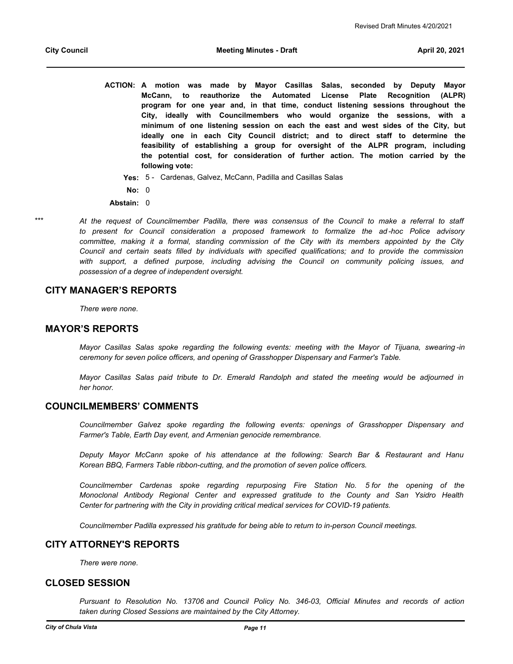- **A motion was made by Mayor Casillas Salas, seconded by Deputy Mayor ACTION: McCann, to reauthorize the Automated License Plate Recognition (ALPR) program for one year and, in that time, conduct listening sessions throughout the City, ideally with Councilmembers who would organize the sessions, with a minimum of one listening session on each the east and west sides of the City, but ideally one in each City Council district; and to direct staff to determine the feasibility of establishing a group for oversight of the ALPR program, including the potential cost, for consideration of further action. The motion carried by the following vote:**
	- **Yes:** 5 Cardenas, Galvez, McCann, Padilla and Casillas Salas
	- **No:** 0
- **Abstain:** 0
- \*\*\*
- *At the request of Councilmember Padilla, there was consensus of the Council to make a referral to staff to present for Council consideration a proposed framework to formalize the ad -hoc Police advisory committee, making it a formal, standing commission of the City with its members appointed by the City Council and certain seats filled by individuals with specified qualifications; and to provide the commission*  with support, a defined purpose, including advising the Council on community policing issues, and *possession of a degree of independent oversight.*

#### **CITY MANAGER'S REPORTS**

*There were none.*

## **MAYOR'S REPORTS**

*Mayor Casillas Salas spoke regarding the following events: meeting with the Mayor of Tijuana, swearing -in ceremony for seven police officers, and opening of Grasshopper Dispensary and Farmer's Table.* 

*Mayor Casillas Salas paid tribute to Dr. Emerald Randolph and stated the meeting would be adjourned in her honor.*

#### **COUNCILMEMBERS' COMMENTS**

*Councilmember Galvez spoke regarding the following events: openings of Grasshopper Dispensary and Farmer's Table, Earth Day event, and Armenian genocide remembrance.* 

*Deputy Mayor McCann spoke of his attendance at the following: Search Bar & Restaurant and Hanu Korean BBQ, Farmers Table ribbon-cutting, and the promotion of seven police officers.*

*Councilmember Cardenas spoke regarding repurposing Fire Station No. 5 for the opening of the Monoclonal Antibody Regional Center and expressed gratitude to the County and San Ysidro Health Center for partnering with the City in providing critical medical services for COVID-19 patients.*

*Councilmember Padilla expressed his gratitude for being able to return to in-person Council meetings.*

## **CITY ATTORNEY'S REPORTS**

*There were none.*

#### **CLOSED SESSION**

*Pursuant to Resolution No. 13706 and Council Policy No. 346-03, Official Minutes and records of action taken during Closed Sessions are maintained by the City Attorney.*